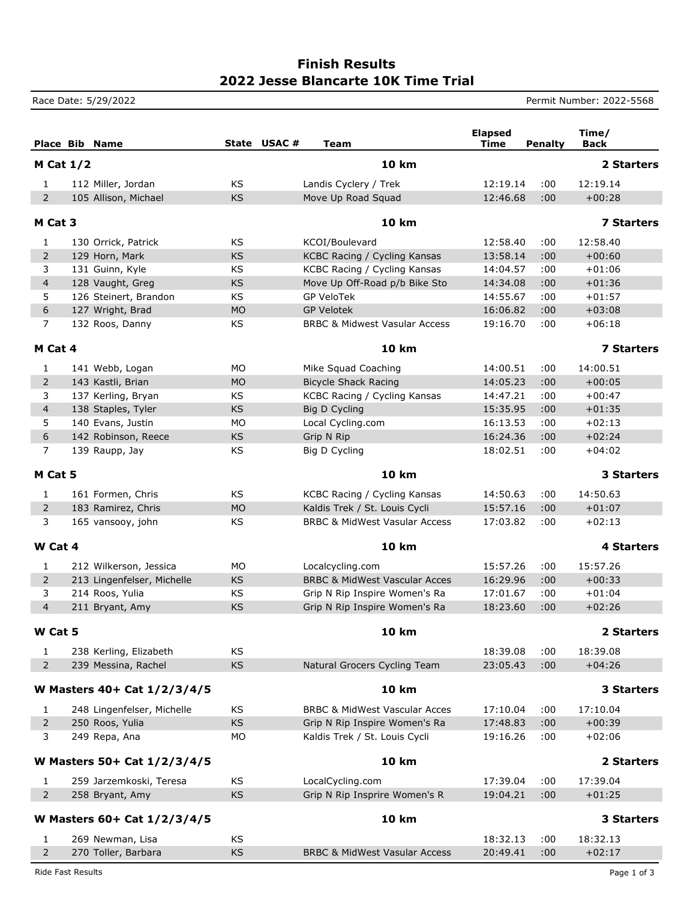## **2022 Jesse Blancarte 10K Time Trial Finish Results**

Race Date: 5/29/2022 **Permit Number: 2022-5568** 

|                             | <b>Place Bib Name</b>       | State USAC# | <b>Team</b>                              | <b>Elapsed</b><br>Time | <b>Penalty</b> | Time/<br><b>Back</b> |
|-----------------------------|-----------------------------|-------------|------------------------------------------|------------------------|----------------|----------------------|
|                             | M Cat $1/2$                 |             | <b>10 km</b>                             |                        |                | 2 Starters           |
| $\mathbf{1}$                | 112 Miller, Jordan          | KS          | Landis Cyclery / Trek                    | 12:19.14               | :00            | 12:19.14             |
| $\overline{2}$              | 105 Allison, Michael        | <b>KS</b>   | Move Up Road Squad                       | 12:46.68               | :00            | $+00:28$             |
|                             | M Cat 3                     |             | <b>10 km</b>                             |                        |                | <b>7 Starters</b>    |
| 1                           | 130 Orrick, Patrick         | KS          | KCOI/Boulevard                           | 12:58.40               | :00            | 12:58.40             |
| $\overline{2}$              | 129 Horn, Mark              | <b>KS</b>   | KCBC Racing / Cycling Kansas             | 13:58.14               | :00            | $+00:60$             |
| 3                           | 131 Guinn, Kyle             | KS          | KCBC Racing / Cycling Kansas             | 14:04.57               | :00            | $+01:06$             |
| $\overline{4}$              | 128 Vaught, Greg            | <b>KS</b>   | Move Up Off-Road p/b Bike Sto            | 14:34.08               | :00            | $+01:36$             |
| 5                           | 126 Steinert, Brandon       | KS          | <b>GP VeloTek</b>                        | 14:55.67               | :00            | $+01:57$             |
| 6                           | 127 Wright, Brad            | <b>MO</b>   | <b>GP Velotek</b>                        | 16:06.82               | :00            | $+03:08$             |
| $\overline{7}$              | 132 Roos, Danny             | KS          | <b>BRBC &amp; Midwest Vasular Access</b> | 19:16.70               | :00            | $+06:18$             |
| M Cat 4                     |                             |             | <b>10 km</b>                             |                        |                | <b>7 Starters</b>    |
| 1                           | 141 Webb, Logan             | MO          | Mike Squad Coaching                      | 14:00.51               | :00            | 14:00.51             |
| 2                           | 143 Kastli, Brian           | <b>MO</b>   | <b>Bicycle Shack Racing</b>              | 14:05.23               | :00            | $+00:05$             |
| 3                           | 137 Kerling, Bryan          | KS          | KCBC Racing / Cycling Kansas             | 14:47.21               | :00            | $+00:47$             |
| $\overline{4}$              | 138 Staples, Tyler          | <b>KS</b>   | Big D Cycling                            | 15:35.95               | :00            | $+01:35$             |
| 5                           | 140 Evans, Justin           | <b>MO</b>   | Local Cycling.com                        | 16:13.53               | :00            | $+02:13$             |
| $\boldsymbol{6}$            | 142 Robinson, Reece         | <b>KS</b>   | Grip N Rip                               | 16:24.36               | :00            | $+02:24$             |
| $\overline{7}$              | 139 Raupp, Jay              | KS          | Big D Cycling                            | 18:02.51               | :00            | $+04:02$             |
| M Cat 5                     |                             |             | <b>10 km</b>                             |                        |                | 3 Starters           |
| 1                           | 161 Formen, Chris           | <b>KS</b>   | KCBC Racing / Cycling Kansas             | 14:50.63               | :00            | 14:50.63             |
| $\overline{2}$              | 183 Ramirez, Chris          | <b>MO</b>   | Kaldis Trek / St. Louis Cycli            | 15:57.16               | :00            | $+01:07$             |
| 3                           | 165 vansooy, john           | KS          | <b>BRBC &amp; MidWest Vasular Access</b> | 17:03.82               | :00            | $+02:13$             |
| W Cat 4                     |                             |             | <b>10 km</b>                             |                        |                | <b>4 Starters</b>    |
| $\mathbf{1}$                | 212 Wilkerson, Jessica      | MO          | Localcycling.com                         | 15:57.26               | :00            | 15:57.26             |
| $\overline{2}$              | 213 Lingenfelser, Michelle  | <b>KS</b>   | <b>BRBC &amp; MidWest Vascular Acces</b> | 16:29.96               | :00            | $+00:33$             |
| 3                           | 214 Roos, Yulia             | KS          | Grip N Rip Inspire Women's Ra            | 17:01.67               | :00            | $+01:04$             |
| $\overline{4}$              | 211 Bryant, Amy             | <b>KS</b>   | Grip N Rip Inspire Women's Ra            | 18:23.60               | :00            | $+02:26$             |
| W Cat 5                     |                             |             | <b>10 km</b>                             |                        |                | 2 Starters           |
| $\mathbf{1}$                | 238 Kerling, Elizabeth      | KS          |                                          | 18:39.08               | :00            | 18:39.08             |
| $\overline{2}$              | 239 Messina, Rachel         | KS          | Natural Grocers Cycling Team             | 23:05.43               | :00            | $+04:26$             |
| W Masters 40+ Cat 1/2/3/4/5 |                             |             | <b>10 km</b>                             |                        |                | 3 Starters           |
| $\mathbf{1}$                | 248 Lingenfelser, Michelle  | KS          | <b>BRBC &amp; MidWest Vascular Acces</b> | 17:10.04               | :00            | 17:10.04             |
| $\overline{2}$              | 250 Roos, Yulia             | KS          | Grip N Rip Inspire Women's Ra            | 17:48.83               | :00            | $+00:39$             |
| 3                           | 249 Repa, Ana               | MO          | Kaldis Trek / St. Louis Cycli            | 19:16.26               | :00            | $+02:06$             |
|                             | W Masters 50+ Cat 1/2/3/4/5 |             | <b>10 km</b>                             |                        |                | 2 Starters           |
| $\mathbf{1}$                | 259 Jarzemkoski, Teresa     | KS          | LocalCycling.com                         | 17:39.04               | :00            | 17:39.04             |
| $\overline{2}$              | 258 Bryant, Amy             | <b>KS</b>   | Grip N Rip Insprire Women's R            | 19:04.21               | :00            | $+01:25$             |
|                             | W Masters 60+ Cat 1/2/3/4/5 |             | <b>10 km</b>                             |                        |                | 3 Starters           |
| 1                           | 269 Newman, Lisa            | KS          |                                          | 18:32.13               | :00            | 18:32.13             |
| $\overline{2}$              | 270 Toller, Barbara         | KS          | BRBC & MidWest Vasular Access            | 20:49.41               | :00            | $+02:17$             |

Ride Fast Results **Page 1 of 3**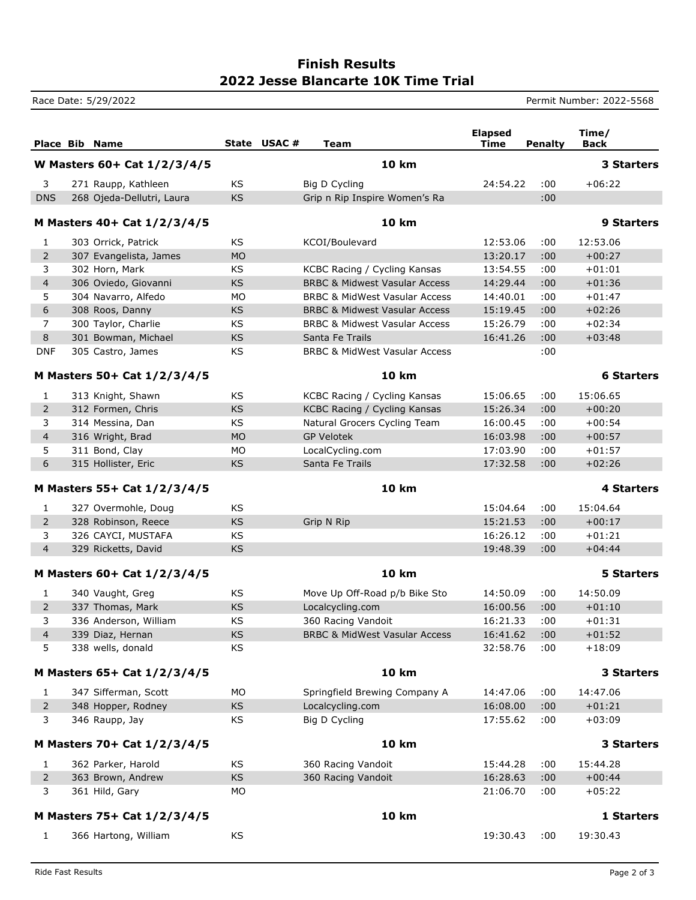## **2022 Jesse Blancarte 10K Time Trial Finish Results**

Race Date: 5/29/2022 **Permit Number: 2022-5568** 

|                             |  | <b>Place Bib Name</b>       |           | State USAC#  | Team                                     | <b>Elapsed</b><br><b>Time</b> | <b>Penalty</b>    | Time/<br>Back     |
|-----------------------------|--|-----------------------------|-----------|--------------|------------------------------------------|-------------------------------|-------------------|-------------------|
| W Masters 60+ Cat 1/2/3/4/5 |  |                             |           | <b>10 km</b> |                                          |                               | <b>3 Starters</b> |                   |
| 3                           |  | 271 Raupp, Kathleen         | KS.       |              | Big D Cycling                            | 24:54.22                      | :00               | $+06:22$          |
| <b>DNS</b>                  |  | 268 Ojeda-Dellutri, Laura   | <b>KS</b> |              | Grip n Rip Inspire Women's Ra            |                               | :00               |                   |
| M Masters 40+ Cat 1/2/3/4/5 |  |                             |           | <b>10 km</b> |                                          |                               | 9 Starters        |                   |
| 1                           |  | 303 Orrick, Patrick         | KS        |              | KCOI/Boulevard                           | 12:53.06                      | :00               | 12:53.06          |
| $\overline{2}$              |  | 307 Evangelista, James      | <b>MO</b> |              |                                          | 13:20.17                      | :00               | $+00:27$          |
| 3                           |  | 302 Horn, Mark              | KS        |              | KCBC Racing / Cycling Kansas             | 13:54.55                      | :00               | $+01:01$          |
| $\overline{4}$              |  | 306 Oviedo, Giovanni        | <b>KS</b> |              | <b>BRBC &amp; Midwest Vasular Access</b> | 14:29.44                      | :00               | $+01:36$          |
| 5                           |  | 304 Navarro, Alfedo         | <b>MO</b> |              | <b>BRBC &amp; MidWest Vasular Access</b> | 14:40.01                      | :00               | $+01:47$          |
| 6                           |  | 308 Roos, Danny             | KS        |              | <b>BRBC &amp; Midwest Vasular Access</b> | 15:19.45                      | :00               | $+02:26$          |
| $\overline{7}$              |  | 300 Taylor, Charlie         | KS        |              | <b>BRBC &amp; Midwest Vasular Access</b> | 15:26.79                      | :00               | $+02:34$          |
| 8                           |  | 301 Bowman, Michael         | <b>KS</b> |              | Santa Fe Trails                          | 16:41.26                      | :00               | $+03:48$          |
| <b>DNF</b>                  |  | 305 Castro, James           | KS        |              | <b>BRBC &amp; MidWest Vasular Access</b> |                               | :00               |                   |
| M Masters 50+ Cat 1/2/3/4/5 |  |                             |           | <b>10 km</b> |                                          |                               | <b>6 Starters</b> |                   |
| 1                           |  | 313 Knight, Shawn           | <b>KS</b> |              | KCBC Racing / Cycling Kansas             | 15:06.65                      | :00               | 15:06.65          |
| $\overline{2}$              |  | 312 Formen, Chris           | KS        |              | KCBC Racing / Cycling Kansas             | 15:26.34                      | :00               | $+00:20$          |
| 3                           |  | 314 Messina, Dan            | <b>KS</b> |              | Natural Grocers Cycling Team             | 16:00.45                      | :00               | $+00:54$          |
| $\overline{4}$              |  | 316 Wright, Brad            | <b>MO</b> |              | <b>GP Velotek</b>                        | 16:03.98                      | :00               | $+00:57$          |
| 5                           |  | 311 Bond, Clay              | <b>MO</b> |              | LocalCycling.com                         | 17:03.90                      | :00               | $+01:57$          |
| 6                           |  | 315 Hollister, Eric         | KS        |              | Santa Fe Trails                          | 17:32.58                      | :00               | $+02:26$          |
| M Masters 55+ Cat 1/2/3/4/5 |  |                             |           | <b>10 km</b> |                                          |                               | <b>4 Starters</b> |                   |
| 1                           |  | 327 Overmohle, Doug         | KS        |              |                                          | 15:04.64                      | :00               | 15:04.64          |
| $\overline{2}$              |  | 328 Robinson, Reece         | KS        |              | Grip N Rip                               | 15:21.53                      | :00               | $+00:17$          |
| 3                           |  | 326 CAYCI, MUSTAFA          | KS        |              |                                          | 16:26.12                      | :00               | $+01:21$          |
| $\overline{4}$              |  | 329 Ricketts, David         | KS        |              |                                          | 19:48.39                      | :00               | $+04:44$          |
| M Masters 60+ Cat 1/2/3/4/5 |  |                             |           |              | <b>10 km</b>                             |                               |                   | <b>5 Starters</b> |
| 1                           |  | 340 Vaught, Greg            | KS        |              | Move Up Off-Road p/b Bike Sto            | 14:50.09                      | :00               | 14:50.09          |
| $\overline{2}$              |  | 337 Thomas, Mark            | KS        |              | Localcycling.com                         | 16:00.56                      | :00               | $+01:10$          |
| 3                           |  | 336 Anderson, William       | KS        |              | 360 Racing Vandoit                       | 16:21.33                      | :00               | $+01:31$          |
| 4                           |  | 339 Diaz, Hernan            | <b>KS</b> |              | <b>BRBC &amp; MidWest Vasular Access</b> | 16:41.62                      | :00               | $+01:52$          |
| 5                           |  | 338 wells, donald           | KS        |              |                                          | 32:58.76                      | :00               | $+18:09$          |
| M Masters 65+ Cat 1/2/3/4/5 |  |                             |           |              | <b>10 km</b>                             |                               |                   | 3 Starters        |
| 1                           |  | 347 Sifferman, Scott        | MO.       |              | Springfield Brewing Company A            | 14:47.06                      | :00               | 14:47.06          |
| $\overline{2}$              |  | 348 Hopper, Rodney          | KS        |              | Localcycling.com                         | 16:08.00                      | :00               | $+01:21$          |
| 3                           |  | 346 Raupp, Jay              | KS        |              | Big D Cycling                            | 17:55.62                      | :00               | $+03:09$          |
| M Masters 70+ Cat 1/2/3/4/5 |  |                             |           | <b>10 km</b> |                                          |                               | 3 Starters        |                   |
| 1                           |  | 362 Parker, Harold          | KS        |              | 360 Racing Vandoit                       | 15:44.28                      | :00               | 15:44.28          |
| $\overline{2}$              |  | 363 Brown, Andrew           | KS        |              | 360 Racing Vandoit                       | 16:28.63                      | :00               | $+00:44$          |
| 3                           |  | 361 Hild, Gary              | МO        |              |                                          | 21:06.70                      | :00               | $+05:22$          |
|                             |  | M Masters 75+ Cat 1/2/3/4/5 |           |              | <b>10 km</b>                             |                               |                   | 1 Starters        |
| 1                           |  | 366 Hartong, William        | KS        |              |                                          | 19:30.43                      | :00               | 19:30.43          |